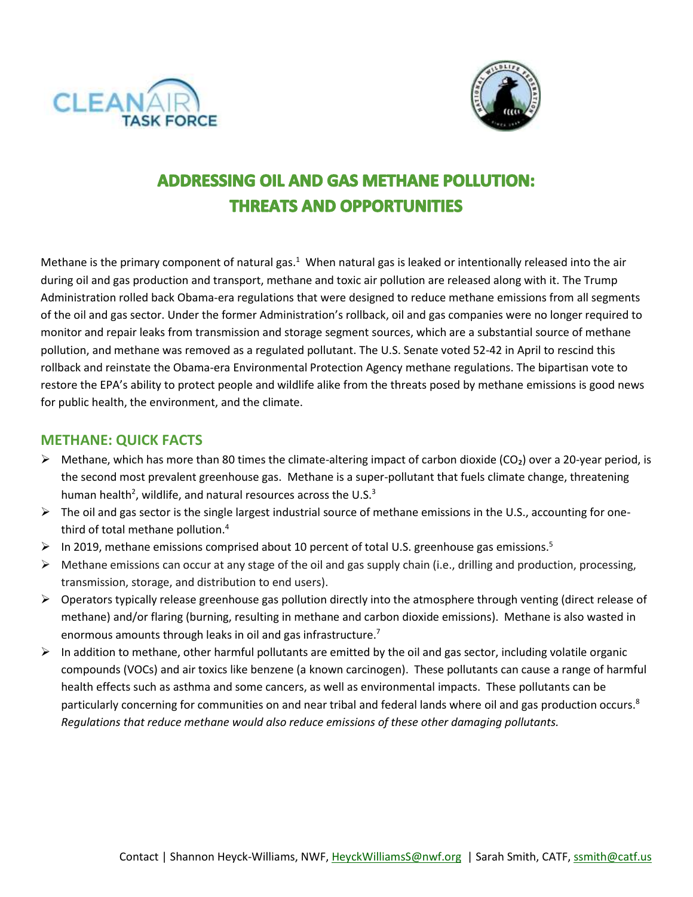



# **ADDRESSING OIL AND GAS METHANE POLLUTION: THREATS AND OPPORTUNITIES**

Methane is the primary component of natural gas. $1$  When natural gas is leaked or intentionally released into the air during oil and gas production and transport, methane and toxic air pollution are released along with it. The Trump Administration rolled back Obama-era regulations that were designed to reduce methane emissions from all segments of the oil and gas sector. Under the former Administration's rollback, oil and gas companies were no longer required to monitor and repair leaks from transmission and storage segment sources, which are a substantial source of methane pollution, and methane was removed as a regulated pollutant. The U.S. Senate voted 52-42 in April to rescind this rollback and reinstate the Obama-era Environmental Protection Agency methane regulations. The bipartisan vote to restore the EPA's ability to protect people and wildlife alike from the threats posed by methane emissions is good news for public health, the environment, and the climate.

#### **METHANE: QUICK FACTS**

- $\triangleright$  Methane, which has more than 80 times the climate-altering impact of carbon dioxide (CO<sub>2</sub>) over a 20-year period, is the second most prevalent greenhouse gas. Methane is a super-pollutant that fuels climate change, threatening human health<sup>2</sup>, wildlife, and natural resources across the U.S.<sup>3</sup>
- $\triangleright$  The oil and gas sector is the single largest industrial source of methane emissions in the U.S., accounting for onethird of total methane pollution. 4
- $\triangleright$  In 2019, methane emissions comprised about 10 percent of total U.S. greenhouse gas emissions.<sup>5</sup>
- $\triangleright$  Methane emissions can occur at any stage of the oil and gas supply chain (i.e., drilling and production, processing, transmission, storage, and distribution to end users).
- $\triangleright$  Operators typically release greenhouse gas pollution directly into the atmosphere through venting (direct release of methane) and/or flaring (burning, resulting in methane and carbon dioxide emissions). Methane is also wasted in enormous amounts through leaks in oil and gas infrastructure.<sup>7</sup>
- $\triangleright$  In addition to methane, other harmful pollutants are emitted by the oil and gas sector, including volatile organic compounds (VOCs) and air toxics like benzene (a known carcinogen). These pollutants can cause a range of harmful health effects such as asthma and some cancers, as well as environmental impacts. These pollutants can be particularly concerning for communities on and near tribal and federal lands where oil and gas production occurs.<sup>8</sup> *Regulations that reduce methane would also reduce emissions of these other damaging pollutants.*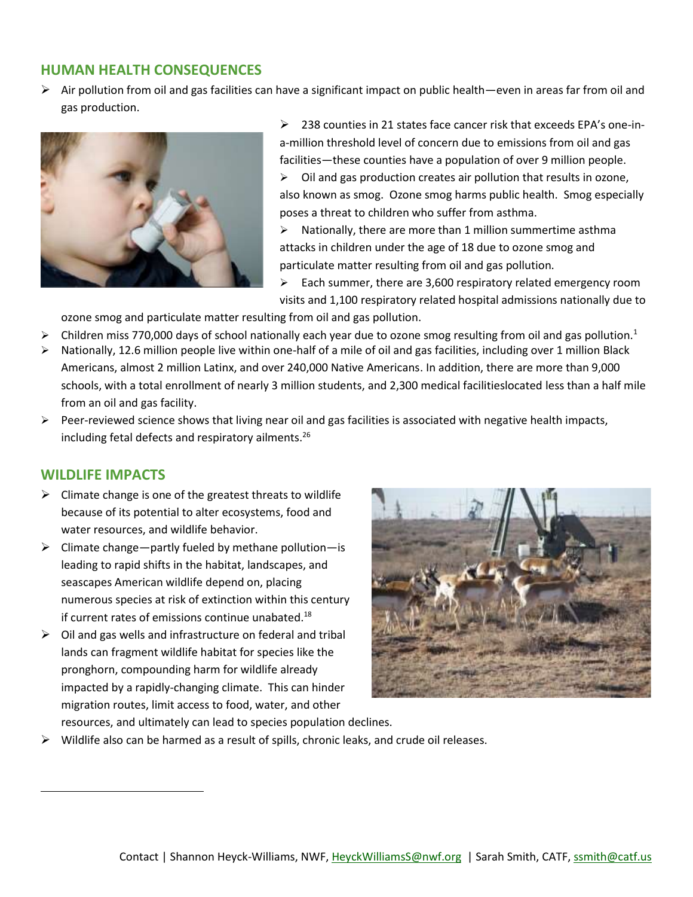## **HUMAN HEALTH CONSEQUENCES**

 $\triangleright$  Air pollution from oil and gas facilities can have a significant impact on public health—even in areas far from oil and gas production.



➢ 238 counties in 21 states face cancer risk that exceeds EPA's one-ina-million threshold level of concern due to emissions from oil and gas facilities—these counties have a population of over 9 million people.

 $\triangleright$  Oil and gas production creates air pollution that results in ozone, also known as smog. Ozone smog harms public health. Smog especially poses a threat to children who suffer from asthma.

➢ Nationally, there are more than 1 million summertime asthma attacks in children under the age of 18 due to ozone smog and particulate matter resulting from oil and gas pollution.

 $\geq$  Each summer, there are 3,600 respiratory related emergency room visits and 1,100 respiratory related hospital admissions nationally due to

ozone smog and particulate matter resulting from oil and gas pollution.

- Children miss 770,000 days of school nationally each year due to ozone smog resulting from oil and gas pollution.<sup>1</sup>
- ➢ Nationally, 12.6 million people live within one-half of a mile of oil and gas facilities, including over 1 million Black Americans, almost 2 million Latinx, and over 240,000 Native Americans. In addition, there are more than 9,000 schools, with a total enrollment of nearly 3 million students, and 2,300 medical facilitieslocated less than a half mile from an oil and gas facility.
- $\triangleright$  Peer-reviewed science shows that living near oil and gas facilities is associated with negative health impacts, including fetal defects and respiratory ailments. 26

#### **WILDLIFE IMPACTS**

 $\overline{a}$ 

- $\triangleright$  Climate change is one of the greatest threats to wildlife because of its potential to alter ecosystems, food and water resources, and wildlife behavior.
- $\triangleright$  Climate change—partly fueled by methane pollution—is leading to rapid shifts in the habitat, landscapes, and seascapes American wildlife depend on, placing numerous species at risk of extinction within this century if current rates of emissions continue unabated.<sup>18</sup>
- $\triangleright$  Oil and gas wells and infrastructure on federal and tribal lands can fragment wildlife habitat for species like the pronghorn, compounding harm for wildlife already impacted by a rapidly-changing climate. This can hinder migration routes, limit access to food, water, and other



resources, and ultimately can lead to species population declines.  $\triangleright$  Wildlife also can be harmed as a result of spills, chronic leaks, and crude oil releases.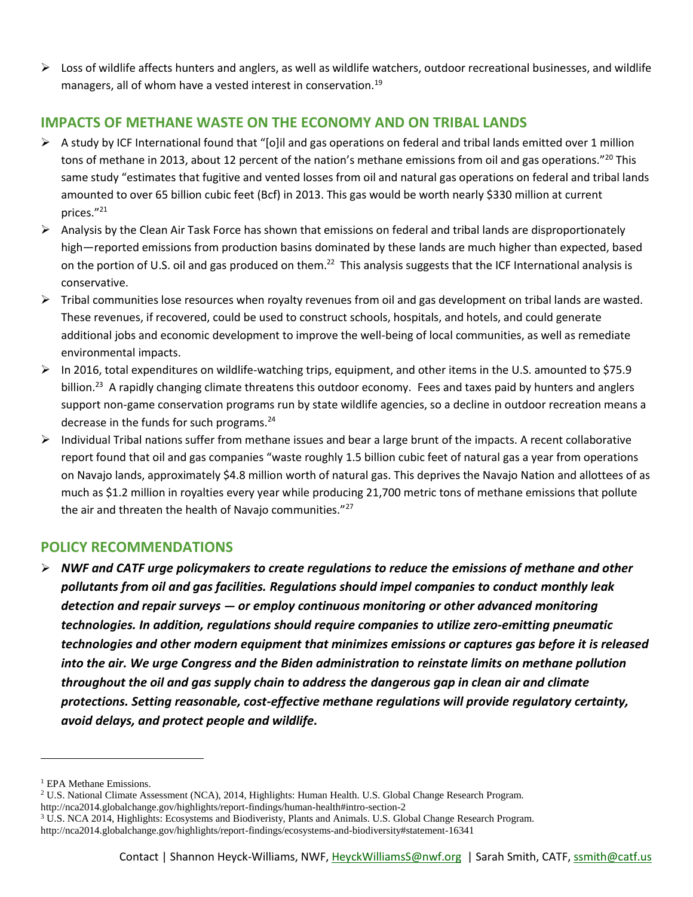$\triangleright$  Loss of wildlife affects hunters and anglers, as well as wildlife watchers, outdoor recreational businesses, and wildlife managers, all of whom have a vested interest in conservation.<sup>19</sup>

# **IMPACTS OF METHANE WASTE ON THE ECONOMY AND ON TRIBAL LANDS**

- $\triangleright$  A study by ICF International found that "[o]il and gas operations on federal and tribal lands emitted over 1 million tons of methane in 2013, about 12 percent of the nation's methane emissions from oil and gas operations."<sup>20</sup> This same study "estimates that fugitive and vented losses from oil and natural gas operations on federal and tribal lands amounted to over 65 billion cubic feet (Bcf) in 2013. This gas would be worth nearly \$330 million at current prices."<sup>21</sup>
- $\triangleright$  Analysis by the Clean Air Task Force has shown that emissions on federal and tribal lands are disproportionately high—reported emissions from production basins dominated by these lands are much higher than expected, based on the portion of U.S. oil and gas produced on them.<sup>22</sup> This analysis suggests that the ICF International analysis is conservative.
- $\triangleright$  Tribal communities lose resources when royalty revenues from oil and gas development on tribal lands are wasted. These revenues, if recovered, could be used to construct schools, hospitals, and hotels, and could generate additional jobs and economic development to improve the well-being of local communities, as well as remediate environmental impacts.
- $\triangleright$  In 2016, total expenditures on wildlife-watching trips, equipment, and other items in the U.S. amounted to \$75.9 billion.<sup>23</sup> A rapidly changing climate threatens this outdoor economy. Fees and taxes paid by hunters and anglers support non-game conservation programs run by state wildlife agencies, so a decline in outdoor recreation means a decrease in the funds for such programs.<sup>24</sup>
- $\triangleright$  Individual Tribal nations suffer from methane issues and bear a large brunt of the impacts. A recent collaborative report found that oil and gas companies "waste roughly 1.5 billion cubic feet of natural gas a year from operations on Navajo lands, approximately \$4.8 million worth of natural gas. This deprives the Navajo Nation and allottees of as much as \$1.2 million in royalties every year while producing 21,700 metric tons of methane emissions that pollute the air and threaten the health of Navajo communities."<sup>27</sup>

## **POLICY RECOMMENDATIONS**

➢ *NWF and CATF urge policymakers to create regulations to reduce the emissions of methane and other pollutants from oil and gas facilities. Regulations should impel companies to conduct monthly leak detection and repair surveys* **—** *or employ continuous monitoring or other advanced monitoring technologies. In addition, regulations should require companies to utilize zero-emitting pneumatic technologies and other modern equipment that minimizes emissions or captures gas before it is released into the air. We urge Congress and the Biden administration to reinstate limits on methane pollution throughout the oil and gas supply chain to address the dangerous gap in clean air and climate protections. Setting reasonable, cost-effective methane regulations will provide regulatory certainty, avoid delays, and protect people and wildlife.*

 $\overline{a}$ 

- <sup>2</sup> U.S. National Climate Assessment (NCA), 2014, Highlights: Human Health. U.S. Global Change Research Program.
- <http://nca2014.globalchange.gov/highlights/report-findings/human-health#intro-section-2>

<sup>&</sup>lt;sup>1</sup> EPA Methane Emissions.

<sup>3</sup> U.S. NCA 2014, Highlights: Ecosystems and Biodiveristy, Plants and Animals. U.S. Global Change Research Program. <http://nca2014.globalchange.gov/highlights/report-findings/ecosystems-and-biodiversity#statement-16341>